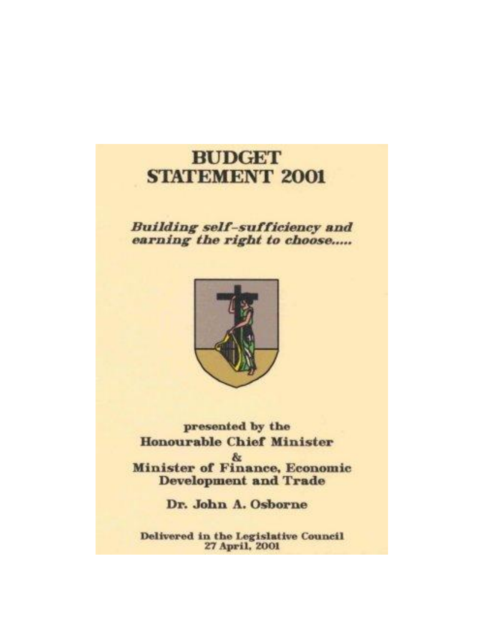# **BUDGET STATEMENT 2001**

# **Building self-sufficiency and** earning the right to choose.....



presented by the **Honourable Chief Minister**  $\&$ **Minister of Finance, Economic Development and Trade** 

Dr. John A. Osborne

**Delivered in the Legislative Council** 27 April, 2001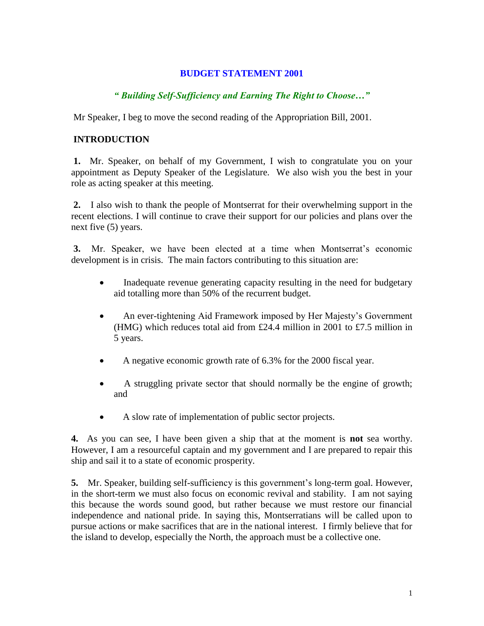### **BUDGET STATEMENT 2001**

### *" Building Self-Sufficiency and Earning The Right to Choose…"*

Mr Speaker, I beg to move the second reading of the Appropriation Bill, 2001.

### **INTRODUCTION**

**1.** Mr. Speaker, on behalf of my Government, I wish to congratulate you on your appointment as Deputy Speaker of the Legislature. We also wish you the best in your role as acting speaker at this meeting.

**2.** I also wish to thank the people of Montserrat for their overwhelming support in the recent elections. I will continue to crave their support for our policies and plans over the next five (5) years.

**3.** Mr. Speaker, we have been elected at a time when Montserrat's economic development is in crisis. The main factors contributing to this situation are:

- Inadequate revenue generating capacity resulting in the need for budgetary aid totalling more than 50% of the recurrent budget.
- An ever-tightening Aid Framework imposed by Her Majesty's Government (HMG) which reduces total aid from £24.4 million in 2001 to £7.5 million in 5 years.
- A negative economic growth rate of 6.3% for the 2000 fiscal year.
- A struggling private sector that should normally be the engine of growth; and
- A slow rate of implementation of public sector projects.

**4.** As you can see, I have been given a ship that at the moment is **not** sea worthy. However, I am a resourceful captain and my government and I are prepared to repair this ship and sail it to a state of economic prosperity.

**5.** Mr. Speaker, building self-sufficiency is this government's long-term goal. However, in the short-term we must also focus on economic revival and stability. I am not saying this because the words sound good, but rather because we must restore our financial independence and national pride. In saying this, Montserratians will be called upon to pursue actions or make sacrifices that are in the national interest. I firmly believe that for the island to develop, especially the North, the approach must be a collective one.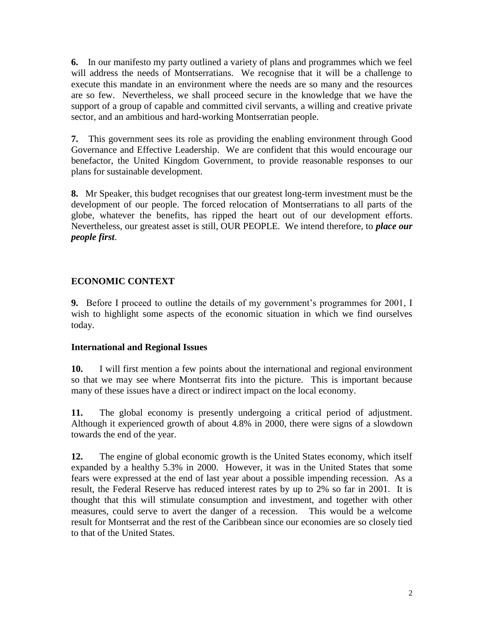**6.** In our manifesto my party outlined a variety of plans and programmes which we feel will address the needs of Montserratians. We recognise that it will be a challenge to execute this mandate in an environment where the needs are so many and the resources are so few. Nevertheless, we shall proceed secure in the knowledge that we have the support of a group of capable and committed civil servants, a willing and creative private sector, and an ambitious and hard-working Montserratian people.

**7.** This government sees its role as providing the enabling environment through Good Governance and Effective Leadership. We are confident that this would encourage our benefactor, the United Kingdom Government, to provide reasonable responses to our plans for sustainable development.

**8.** Mr Speaker, this budget recognises that our greatest long-term investment must be the development of our people. The forced relocation of Montserratians to all parts of the globe, whatever the benefits, has ripped the heart out of our development efforts. Nevertheless, our greatest asset is still, OUR PEOPLE. We intend therefore, to *place our people first*.

## **ECONOMIC CONTEXT**

**9.** Before I proceed to outline the details of my government's programmes for 2001, I wish to highlight some aspects of the economic situation in which we find ourselves today.

### **International and Regional Issues**

**10.** I will first mention a few points about the international and regional environment so that we may see where Montserrat fits into the picture. This is important because many of these issues have a direct or indirect impact on the local economy.

**11.** The global economy is presently undergoing a critical period of adjustment. Although it experienced growth of about 4.8% in 2000, there were signs of a slowdown towards the end of the year.

**12.** The engine of global economic growth is the United States economy, which itself expanded by a healthy 5.3% in 2000. However, it was in the United States that some fears were expressed at the end of last year about a possible impending recession. As a result, the Federal Reserve has reduced interest rates by up to 2% so far in 2001. It is thought that this will stimulate consumption and investment, and together with other measures, could serve to avert the danger of a recession. This would be a welcome result for Montserrat and the rest of the Caribbean since our economies are so closely tied to that of the United States.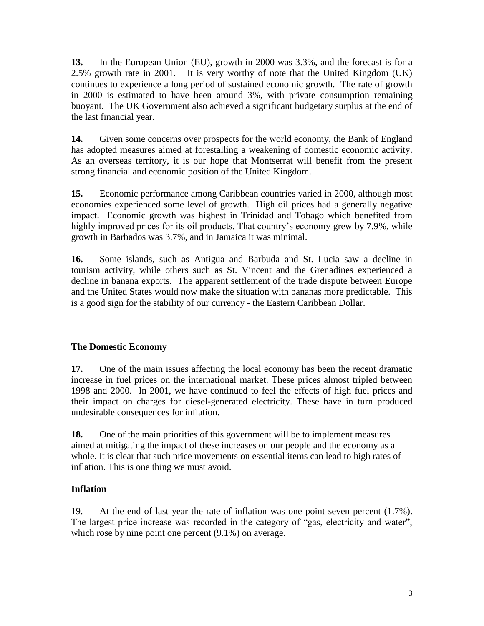**13.** In the European Union (EU), growth in 2000 was 3.3%, and the forecast is for a 2.5% growth rate in 2001. It is very worthy of note that the United Kingdom (UK) continues to experience a long period of sustained economic growth. The rate of growth in 2000 is estimated to have been around 3%, with private consumption remaining buoyant. The UK Government also achieved a significant budgetary surplus at the end of the last financial year.

**14.** Given some concerns over prospects for the world economy, the Bank of England has adopted measures aimed at forestalling a weakening of domestic economic activity. As an overseas territory, it is our hope that Montserrat will benefit from the present strong financial and economic position of the United Kingdom.

**15.** Economic performance among Caribbean countries varied in 2000, although most economies experienced some level of growth. High oil prices had a generally negative impact. Economic growth was highest in Trinidad and Tobago which benefited from highly improved prices for its oil products. That country's economy grew by 7.9%, while growth in Barbados was 3.7%, and in Jamaica it was minimal.

**16.** Some islands, such as Antigua and Barbuda and St. Lucia saw a decline in tourism activity, while others such as St. Vincent and the Grenadines experienced a decline in banana exports. The apparent settlement of the trade dispute between Europe and the United States would now make the situation with bananas more predictable. This is a good sign for the stability of our currency - the Eastern Caribbean Dollar.

# **The Domestic Economy**

**17.** One of the main issues affecting the local economy has been the recent dramatic increase in fuel prices on the international market. These prices almost tripled between 1998 and 2000. In 2001, we have continued to feel the effects of high fuel prices and their impact on charges for diesel-generated electricity. These have in turn produced undesirable consequences for inflation.

**18.** One of the main priorities of this government will be to implement measures aimed at mitigating the impact of these increases on our people and the economy as a whole. It is clear that such price movements on essential items can lead to high rates of inflation. This is one thing we must avoid.

# **Inflation**

19. At the end of last year the rate of inflation was one point seven percent (1.7%). The largest price increase was recorded in the category of "gas, electricity and water", which rose by nine point one percent  $(9.1\%)$  on average.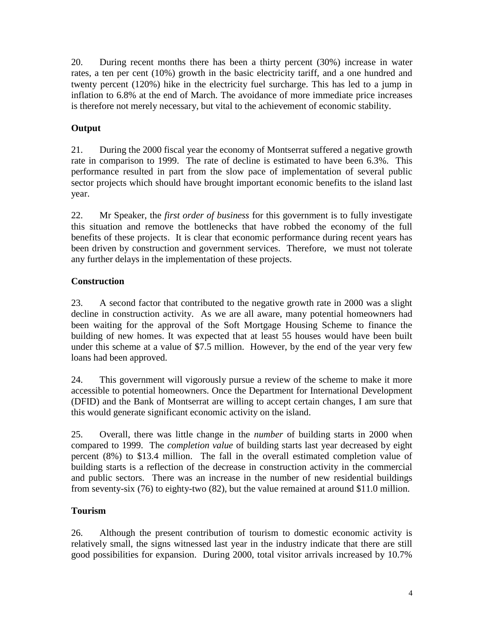20. During recent months there has been a thirty percent (30%) increase in water rates, a ten per cent (10%) growth in the basic electricity tariff, and a one hundred and twenty percent (120%) hike in the electricity fuel surcharge. This has led to a jump in inflation to 6.8% at the end of March. The avoidance of more immediate price increases is therefore not merely necessary, but vital to the achievement of economic stability.

# **Output**

21. During the 2000 fiscal year the economy of Montserrat suffered a negative growth rate in comparison to 1999. The rate of decline is estimated to have been 6.3%. This performance resulted in part from the slow pace of implementation of several public sector projects which should have brought important economic benefits to the island last year.

22. Mr Speaker, the *first order of business* for this government is to fully investigate this situation and remove the bottlenecks that have robbed the economy of the full benefits of these projects. It is clear that economic performance during recent years has been driven by construction and government services. Therefore, we must not tolerate any further delays in the implementation of these projects.

# **Construction**

23. A second factor that contributed to the negative growth rate in 2000 was a slight decline in construction activity. As we are all aware, many potential homeowners had been waiting for the approval of the Soft Mortgage Housing Scheme to finance the building of new homes. It was expected that at least 55 houses would have been built under this scheme at a value of \$7.5 million. However, by the end of the year very few loans had been approved.

24. This government will vigorously pursue a review of the scheme to make it more accessible to potential homeowners. Once the Department for International Development (DFID) and the Bank of Montserrat are willing to accept certain changes, I am sure that this would generate significant economic activity on the island.

25. Overall, there was little change in the *number* of building starts in 2000 when compared to 1999. The *completion value* of building starts last year decreased by eight percent (8%) to \$13.4 million. The fall in the overall estimated completion value of building starts is a reflection of the decrease in construction activity in the commercial and public sectors. There was an increase in the number of new residential buildings from seventy-six (76) to eighty-two (82), but the value remained at around \$11.0 million.

# **Tourism**

26. Although the present contribution of tourism to domestic economic activity is relatively small, the signs witnessed last year in the industry indicate that there are still good possibilities for expansion. During 2000, total visitor arrivals increased by 10.7%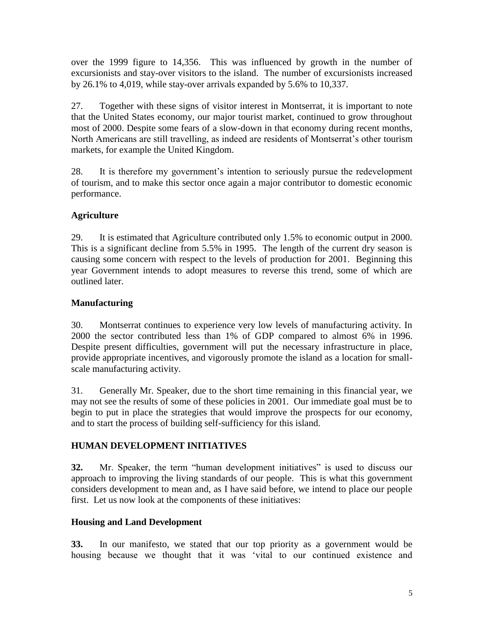over the 1999 figure to 14,356. This was influenced by growth in the number of excursionists and stay-over visitors to the island. The number of excursionists increased by 26.1% to 4,019, while stay-over arrivals expanded by 5.6% to 10,337.

27. Together with these signs of visitor interest in Montserrat, it is important to note that the United States economy, our major tourist market, continued to grow throughout most of 2000. Despite some fears of a slow-down in that economy during recent months, North Americans are still travelling, as indeed are residents of Montserrat's other tourism markets, for example the United Kingdom.

28. It is therefore my government"s intention to seriously pursue the redevelopment of tourism, and to make this sector once again a major contributor to domestic economic performance.

# **Agriculture**

29. It is estimated that Agriculture contributed only 1.5% to economic output in 2000. This is a significant decline from 5.5% in 1995. The length of the current dry season is causing some concern with respect to the levels of production for 2001. Beginning this year Government intends to adopt measures to reverse this trend, some of which are outlined later.

# **Manufacturing**

30. Montserrat continues to experience very low levels of manufacturing activity. In 2000 the sector contributed less than 1% of GDP compared to almost 6% in 1996. Despite present difficulties, government will put the necessary infrastructure in place, provide appropriate incentives, and vigorously promote the island as a location for smallscale manufacturing activity.

31. Generally Mr. Speaker, due to the short time remaining in this financial year, we may not see the results of some of these policies in 2001. Our immediate goal must be to begin to put in place the strategies that would improve the prospects for our economy, and to start the process of building self-sufficiency for this island.

# **HUMAN DEVELOPMENT INITIATIVES**

**32.** Mr. Speaker, the term "human development initiatives" is used to discuss our approach to improving the living standards of our people. This is what this government considers development to mean and, as I have said before, we intend to place our people first. Let us now look at the components of these initiatives:

# **Housing and Land Development**

**33.** In our manifesto, we stated that our top priority as a government would be housing because we thought that it was "vital to our continued existence and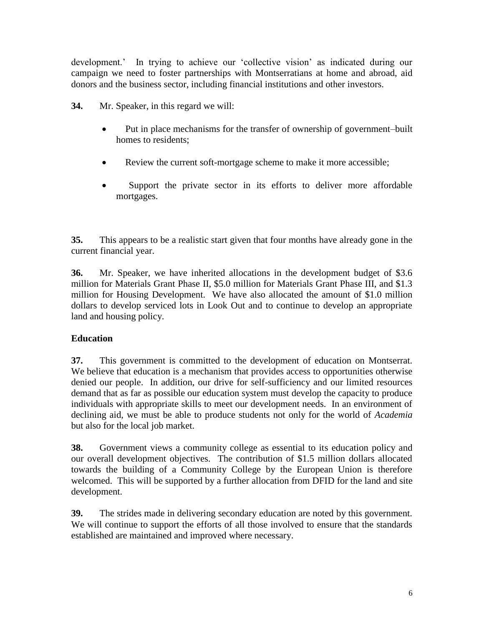development.' In trying to achieve our 'collective vision' as indicated during our campaign we need to foster partnerships with Montserratians at home and abroad, aid donors and the business sector, including financial institutions and other investors.

- **34.** Mr. Speaker, in this regard we will:
	- Put in place mechanisms for the transfer of ownership of government–built homes to residents;
	- Review the current soft-mortgage scheme to make it more accessible;
	- Support the private sector in its efforts to deliver more affordable mortgages.

**35.** This appears to be a realistic start given that four months have already gone in the current financial year.

**36.** Mr. Speaker, we have inherited allocations in the development budget of \$3.6 million for Materials Grant Phase II, \$5.0 million for Materials Grant Phase III, and \$1.3 million for Housing Development. We have also allocated the amount of \$1.0 million dollars to develop serviced lots in Look Out and to continue to develop an appropriate land and housing policy.

# **Education**

**37.** This government is committed to the development of education on Montserrat. We believe that education is a mechanism that provides access to opportunities otherwise denied our people. In addition, our drive for self-sufficiency and our limited resources demand that as far as possible our education system must develop the capacity to produce individuals with appropriate skills to meet our development needs. In an environment of declining aid, we must be able to produce students not only for the world of *Academia* but also for the local job market.

**38.** Government views a community college as essential to its education policy and our overall development objectives. The contribution of \$1.5 million dollars allocated towards the building of a Community College by the European Union is therefore welcomed. This will be supported by a further allocation from DFID for the land and site development.

**39.** The strides made in delivering secondary education are noted by this government. We will continue to support the efforts of all those involved to ensure that the standards established are maintained and improved where necessary.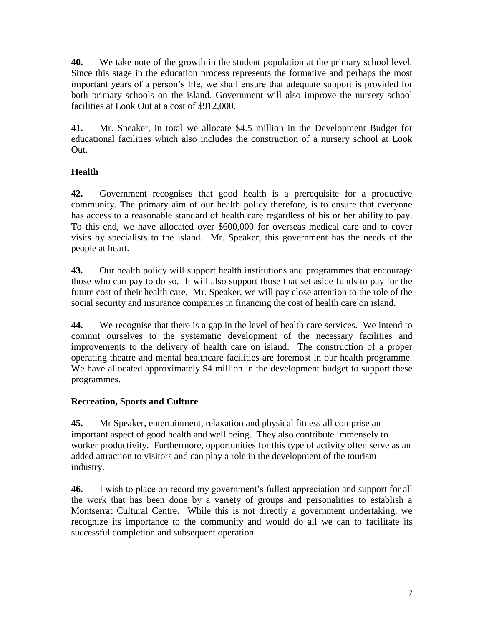**40.** We take note of the growth in the student population at the primary school level. Since this stage in the education process represents the formative and perhaps the most important years of a person"s life, we shall ensure that adequate support is provided for both primary schools on the island. Government will also improve the nursery school facilities at Look Out at a cost of \$912,000.

**41.** Mr. Speaker, in total we allocate \$4.5 million in the Development Budget for educational facilities which also includes the construction of a nursery school at Look Out.

# **Health**

**42.** Government recognises that good health is a prerequisite for a productive community. The primary aim of our health policy therefore, is to ensure that everyone has access to a reasonable standard of health care regardless of his or her ability to pay. To this end, we have allocated over \$600,000 for overseas medical care and to cover visits by specialists to the island. Mr. Speaker, this government has the needs of the people at heart.

**43.** Our health policy will support health institutions and programmes that encourage those who can pay to do so. It will also support those that set aside funds to pay for the future cost of their health care. Mr. Speaker, we will pay close attention to the role of the social security and insurance companies in financing the cost of health care on island.

**44.** We recognise that there is a gap in the level of health care services. We intend to commit ourselves to the systematic development of the necessary facilities and improvements to the delivery of health care on island. The construction of a proper operating theatre and mental healthcare facilities are foremost in our health programme. We have allocated approximately \$4 million in the development budget to support these programmes.

# **Recreation, Sports and Culture**

**45.** Mr Speaker, entertainment, relaxation and physical fitness all comprise an important aspect of good health and well being. They also contribute immensely to worker productivity. Furthermore, opportunities for this type of activity often serve as an added attraction to visitors and can play a role in the development of the tourism industry.

**46.** I wish to place on record my government's fullest appreciation and support for all the work that has been done by a variety of groups and personalities to establish a Montserrat Cultural Centre. While this is not directly a government undertaking, we recognize its importance to the community and would do all we can to facilitate its successful completion and subsequent operation.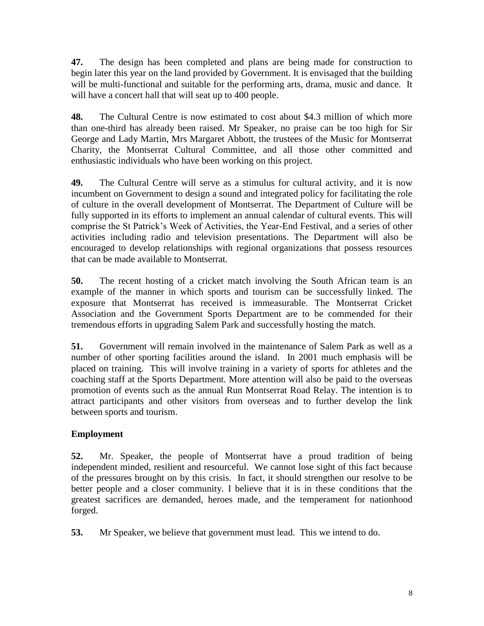**47.** The design has been completed and plans are being made for construction to begin later this year on the land provided by Government. It is envisaged that the building will be multi-functional and suitable for the performing arts, drama, music and dance. It will have a concert hall that will seat up to 400 people.

**48.** The Cultural Centre is now estimated to cost about \$4.3 million of which more than one-third has already been raised. Mr Speaker, no praise can be too high for Sir George and Lady Martin, Mrs Margaret Abbott, the trustees of the Music for Montserrat Charity, the Montserrat Cultural Committee, and all those other committed and enthusiastic individuals who have been working on this project.

**49.** The Cultural Centre will serve as a stimulus for cultural activity, and it is now incumbent on Government to design a sound and integrated policy for facilitating the role of culture in the overall development of Montserrat. The Department of Culture will be fully supported in its efforts to implement an annual calendar of cultural events. This will comprise the St Patrick"s Week of Activities, the Year-End Festival, and a series of other activities including radio and television presentations. The Department will also be encouraged to develop relationships with regional organizations that possess resources that can be made available to Montserrat.

**50.** The recent hosting of a cricket match involving the South African team is an example of the manner in which sports and tourism can be successfully linked. The exposure that Montserrat has received is immeasurable. The Montserrat Cricket Association and the Government Sports Department are to be commended for their tremendous efforts in upgrading Salem Park and successfully hosting the match.

**51.** Government will remain involved in the maintenance of Salem Park as well as a number of other sporting facilities around the island. In 2001 much emphasis will be placed on training. This will involve training in a variety of sports for athletes and the coaching staff at the Sports Department. More attention will also be paid to the overseas promotion of events such as the annual Run Montserrat Road Relay. The intention is to attract participants and other visitors from overseas and to further develop the link between sports and tourism.

# **Employment**

**52.** Mr. Speaker, the people of Montserrat have a proud tradition of being independent minded, resilient and resourceful. We cannot lose sight of this fact because of the pressures brought on by this crisis. In fact, it should strengthen our resolve to be better people and a closer community. I believe that it is in these conditions that the greatest sacrifices are demanded, heroes made, and the temperament for nationhood forged.

**53.** Mr Speaker, we believe that government must lead. This we intend to do.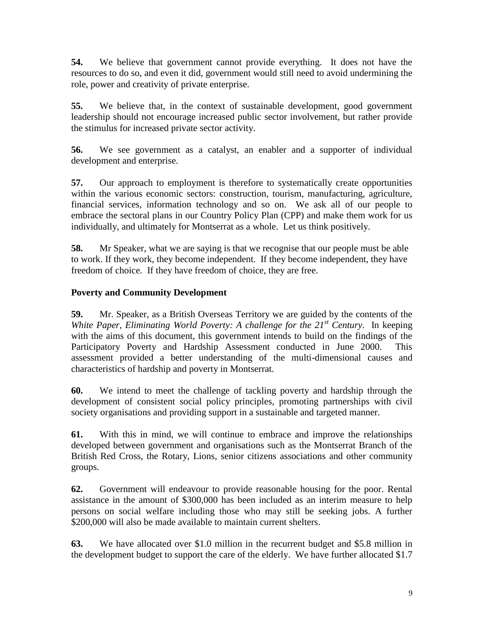**54.** We believe that government cannot provide everything. It does not have the resources to do so, and even it did, government would still need to avoid undermining the role, power and creativity of private enterprise.

**55.** We believe that, in the context of sustainable development, good government leadership should not encourage increased public sector involvement, but rather provide the stimulus for increased private sector activity.

**56.** We see government as a catalyst, an enabler and a supporter of individual development and enterprise.

**57.** Our approach to employment is therefore to systematically create opportunities within the various economic sectors: construction, tourism, manufacturing, agriculture, financial services, information technology and so on. We ask all of our people to embrace the sectoral plans in our Country Policy Plan (CPP) and make them work for us individually, and ultimately for Montserrat as a whole. Let us think positively.

**58.** Mr Speaker, what we are saying is that we recognise that our people must be able to work. If they work, they become independent. If they become independent, they have freedom of choice. If they have freedom of choice, they are free.

# **Poverty and Community Development**

**59.** Mr. Speaker, as a British Overseas Territory we are guided by the contents of the *White Paper, Eliminating World Poverty: A challenge for the 21st Century*. In keeping with the aims of this document, this government intends to build on the findings of the Participatory Poverty and Hardship Assessment conducted in June 2000. This assessment provided a better understanding of the multi-dimensional causes and characteristics of hardship and poverty in Montserrat.

**60.** We intend to meet the challenge of tackling poverty and hardship through the development of consistent social policy principles, promoting partnerships with civil society organisations and providing support in a sustainable and targeted manner.

**61.** With this in mind, we will continue to embrace and improve the relationships developed between government and organisations such as the Montserrat Branch of the British Red Cross, the Rotary, Lions, senior citizens associations and other community groups.

**62.** Government will endeavour to provide reasonable housing for the poor. Rental assistance in the amount of \$300,000 has been included as an interim measure to help persons on social welfare including those who may still be seeking jobs. A further \$200,000 will also be made available to maintain current shelters.

**63.** We have allocated over \$1.0 million in the recurrent budget and \$5.8 million in the development budget to support the care of the elderly. We have further allocated \$1.7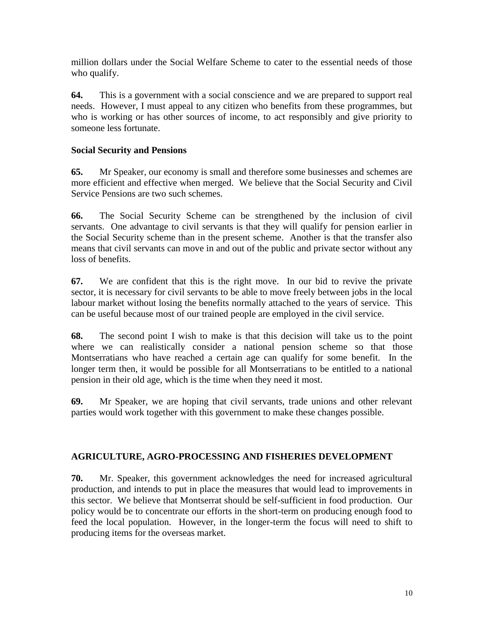million dollars under the Social Welfare Scheme to cater to the essential needs of those who qualify.

**64.** This is a government with a social conscience and we are prepared to support real needs. However, I must appeal to any citizen who benefits from these programmes, but who is working or has other sources of income, to act responsibly and give priority to someone less fortunate.

## **Social Security and Pensions**

**65.** Mr Speaker, our economy is small and therefore some businesses and schemes are more efficient and effective when merged. We believe that the Social Security and Civil Service Pensions are two such schemes.

**66.** The Social Security Scheme can be strengthened by the inclusion of civil servants. One advantage to civil servants is that they will qualify for pension earlier in the Social Security scheme than in the present scheme. Another is that the transfer also means that civil servants can move in and out of the public and private sector without any loss of benefits.

**67.** We are confident that this is the right move. In our bid to revive the private sector, it is necessary for civil servants to be able to move freely between jobs in the local labour market without losing the benefits normally attached to the years of service. This can be useful because most of our trained people are employed in the civil service.

**68.** The second point I wish to make is that this decision will take us to the point where we can realistically consider a national pension scheme so that those Montserratians who have reached a certain age can qualify for some benefit. In the longer term then, it would be possible for all Montserratians to be entitled to a national pension in their old age, which is the time when they need it most.

**69.** Mr Speaker, we are hoping that civil servants, trade unions and other relevant parties would work together with this government to make these changes possible.

### **AGRICULTURE, AGRO-PROCESSING AND FISHERIES DEVELOPMENT**

**70.** Mr. Speaker, this government acknowledges the need for increased agricultural production, and intends to put in place the measures that would lead to improvements in this sector. We believe that Montserrat should be self-sufficient in food production. Our policy would be to concentrate our efforts in the short-term on producing enough food to feed the local population. However, in the longer-term the focus will need to shift to producing items for the overseas market.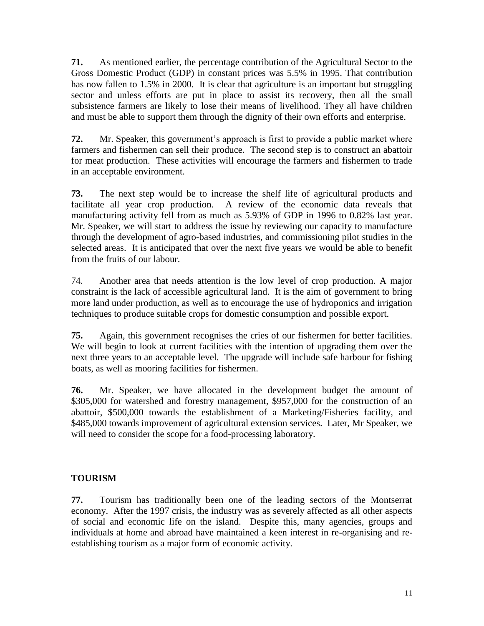**71.** As mentioned earlier, the percentage contribution of the Agricultural Sector to the Gross Domestic Product (GDP) in constant prices was 5.5% in 1995. That contribution has now fallen to 1.5% in 2000. It is clear that agriculture is an important but struggling sector and unless efforts are put in place to assist its recovery, then all the small subsistence farmers are likely to lose their means of livelihood. They all have children and must be able to support them through the dignity of their own efforts and enterprise.

**72.** Mr. Speaker, this government's approach is first to provide a public market where farmers and fishermen can sell their produce. The second step is to construct an abattoir for meat production. These activities will encourage the farmers and fishermen to trade in an acceptable environment.

**73.** The next step would be to increase the shelf life of agricultural products and facilitate all year crop production. A review of the economic data reveals that manufacturing activity fell from as much as 5.93% of GDP in 1996 to 0.82% last year. Mr. Speaker, we will start to address the issue by reviewing our capacity to manufacture through the development of agro-based industries, and commissioning pilot studies in the selected areas. It is anticipated that over the next five years we would be able to benefit from the fruits of our labour.

74. Another area that needs attention is the low level of crop production. A major constraint is the lack of accessible agricultural land. It is the aim of government to bring more land under production, as well as to encourage the use of hydroponics and irrigation techniques to produce suitable crops for domestic consumption and possible export.

**75.** Again, this government recognises the cries of our fishermen for better facilities. We will begin to look at current facilities with the intention of upgrading them over the next three years to an acceptable level. The upgrade will include safe harbour for fishing boats, as well as mooring facilities for fishermen.

**76.** Mr. Speaker, we have allocated in the development budget the amount of \$305,000 for watershed and forestry management, \$957,000 for the construction of an abattoir, \$500,000 towards the establishment of a Marketing/Fisheries facility, and \$485,000 towards improvement of agricultural extension services. Later, Mr Speaker, we will need to consider the scope for a food-processing laboratory.

# **TOURISM**

**77.** Tourism has traditionally been one of the leading sectors of the Montserrat economy. After the 1997 crisis, the industry was as severely affected as all other aspects of social and economic life on the island. Despite this, many agencies, groups and individuals at home and abroad have maintained a keen interest in re-organising and reestablishing tourism as a major form of economic activity.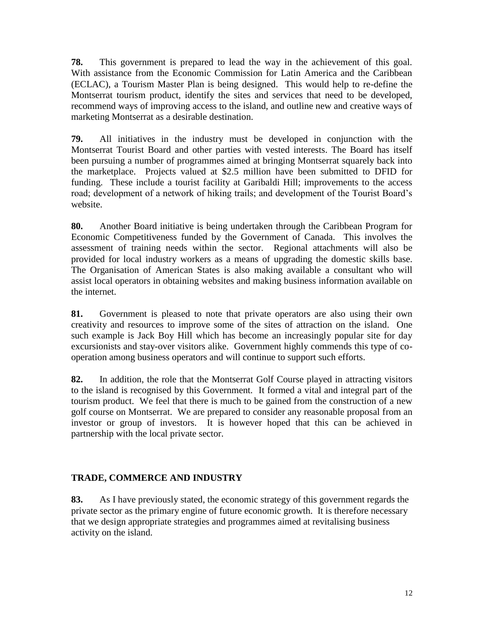**78.** This government is prepared to lead the way in the achievement of this goal. With assistance from the Economic Commission for Latin America and the Caribbean (ECLAC), a Tourism Master Plan is being designed. This would help to re-define the Montserrat tourism product, identify the sites and services that need to be developed, recommend ways of improving access to the island, and outline new and creative ways of marketing Montserrat as a desirable destination.

**79.** All initiatives in the industry must be developed in conjunction with the Montserrat Tourist Board and other parties with vested interests. The Board has itself been pursuing a number of programmes aimed at bringing Montserrat squarely back into the marketplace. Projects valued at \$2.5 million have been submitted to DFID for funding. These include a tourist facility at Garibaldi Hill; improvements to the access road; development of a network of hiking trails; and development of the Tourist Board"s website.

**80.** Another Board initiative is being undertaken through the Caribbean Program for Economic Competitiveness funded by the Government of Canada. This involves the assessment of training needs within the sector. Regional attachments will also be provided for local industry workers as a means of upgrading the domestic skills base. The Organisation of American States is also making available a consultant who will assist local operators in obtaining websites and making business information available on the internet.

**81.** Government is pleased to note that private operators are also using their own creativity and resources to improve some of the sites of attraction on the island. One such example is Jack Boy Hill which has become an increasingly popular site for day excursionists and stay-over visitors alike. Government highly commends this type of cooperation among business operators and will continue to support such efforts.

**82.** In addition, the role that the Montserrat Golf Course played in attracting visitors to the island is recognised by this Government. It formed a vital and integral part of the tourism product. We feel that there is much to be gained from the construction of a new golf course on Montserrat. We are prepared to consider any reasonable proposal from an investor or group of investors. It is however hoped that this can be achieved in partnership with the local private sector.

# **TRADE, COMMERCE AND INDUSTRY**

**83.** As I have previously stated, the economic strategy of this government regards the private sector as the primary engine of future economic growth. It is therefore necessary that we design appropriate strategies and programmes aimed at revitalising business activity on the island.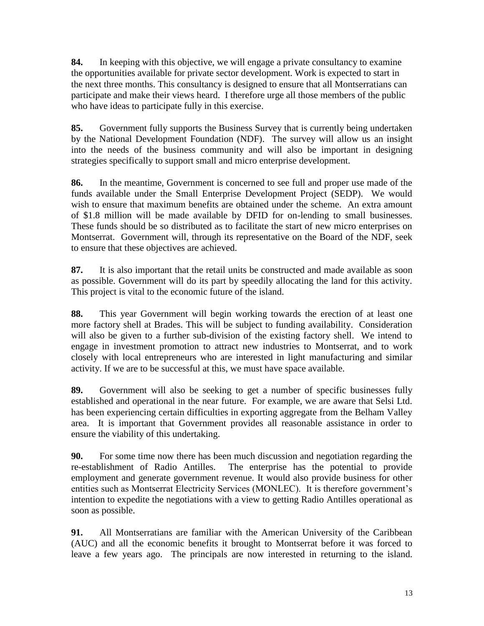**84.** In keeping with this objective, we will engage a private consultancy to examine the opportunities available for private sector development. Work is expected to start in the next three months. This consultancy is designed to ensure that all Montserratians can participate and make their views heard. I therefore urge all those members of the public who have ideas to participate fully in this exercise.

**85.** Government fully supports the Business Survey that is currently being undertaken by the National Development Foundation (NDF). The survey will allow us an insight into the needs of the business community and will also be important in designing strategies specifically to support small and micro enterprise development.

**86.** In the meantime, Government is concerned to see full and proper use made of the funds available under the Small Enterprise Development Project (SEDP). We would wish to ensure that maximum benefits are obtained under the scheme. An extra amount of \$1.8 million will be made available by DFID for on-lending to small businesses. These funds should be so distributed as to facilitate the start of new micro enterprises on Montserrat. Government will, through its representative on the Board of the NDF, seek to ensure that these objectives are achieved.

**87.** It is also important that the retail units be constructed and made available as soon as possible. Government will do its part by speedily allocating the land for this activity. This project is vital to the economic future of the island.

**88.** This year Government will begin working towards the erection of at least one more factory shell at Brades. This will be subject to funding availability. Consideration will also be given to a further sub-division of the existing factory shell. We intend to engage in investment promotion to attract new industries to Montserrat, and to work closely with local entrepreneurs who are interested in light manufacturing and similar activity. If we are to be successful at this, we must have space available.

**89.** Government will also be seeking to get a number of specific businesses fully established and operational in the near future. For example, we are aware that Selsi Ltd. has been experiencing certain difficulties in exporting aggregate from the Belham Valley area. It is important that Government provides all reasonable assistance in order to ensure the viability of this undertaking.

**90.** For some time now there has been much discussion and negotiation regarding the re-establishment of Radio Antilles. The enterprise has the potential to provide employment and generate government revenue. It would also provide business for other entities such as Montserrat Electricity Services (MONLEC). It is therefore government's intention to expedite the negotiations with a view to getting Radio Antilles operational as soon as possible.

**91.** All Montserratians are familiar with the American University of the Caribbean (AUC) and all the economic benefits it brought to Montserrat before it was forced to leave a few years ago. The principals are now interested in returning to the island.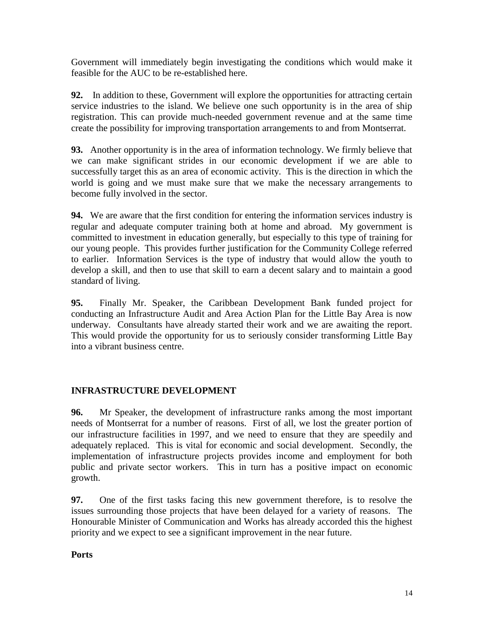Government will immediately begin investigating the conditions which would make it feasible for the AUC to be re-established here.

**92.** In addition to these, Government will explore the opportunities for attracting certain service industries to the island. We believe one such opportunity is in the area of ship registration. This can provide much-needed government revenue and at the same time create the possibility for improving transportation arrangements to and from Montserrat.

**93.** Another opportunity is in the area of information technology. We firmly believe that we can make significant strides in our economic development if we are able to successfully target this as an area of economic activity. This is the direction in which the world is going and we must make sure that we make the necessary arrangements to become fully involved in the sector.

**94.** We are aware that the first condition for entering the information services industry is regular and adequate computer training both at home and abroad. My government is committed to investment in education generally, but especially to this type of training for our young people. This provides further justification for the Community College referred to earlier. Information Services is the type of industry that would allow the youth to develop a skill, and then to use that skill to earn a decent salary and to maintain a good standard of living.

**95.** Finally Mr. Speaker, the Caribbean Development Bank funded project for conducting an Infrastructure Audit and Area Action Plan for the Little Bay Area is now underway. Consultants have already started their work and we are awaiting the report. This would provide the opportunity for us to seriously consider transforming Little Bay into a vibrant business centre.

# **INFRASTRUCTURE DEVELOPMENT**

**96.** Mr Speaker, the development of infrastructure ranks among the most important needs of Montserrat for a number of reasons. First of all, we lost the greater portion of our infrastructure facilities in 1997, and we need to ensure that they are speedily and adequately replaced. This is vital for economic and social development. Secondly, the implementation of infrastructure projects provides income and employment for both public and private sector workers. This in turn has a positive impact on economic growth.

**97.** One of the first tasks facing this new government therefore, is to resolve the issues surrounding those projects that have been delayed for a variety of reasons. The Honourable Minister of Communication and Works has already accorded this the highest priority and we expect to see a significant improvement in the near future.

### **Ports**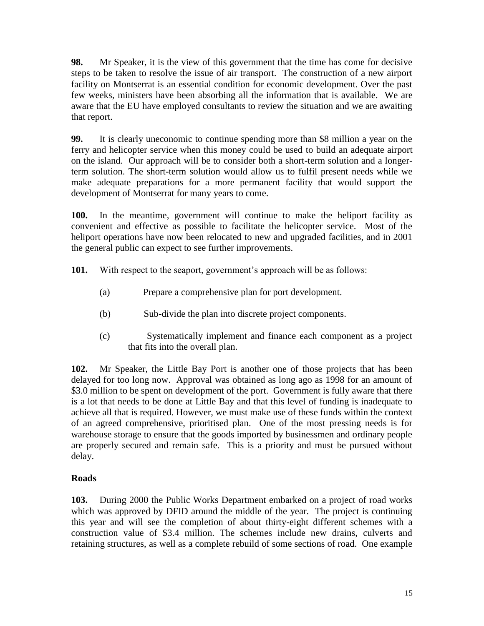**98.** Mr Speaker, it is the view of this government that the time has come for decisive steps to be taken to resolve the issue of air transport. The construction of a new airport facility on Montserrat is an essential condition for economic development. Over the past few weeks, ministers have been absorbing all the information that is available. We are aware that the EU have employed consultants to review the situation and we are awaiting that report.

**99.** It is clearly uneconomic to continue spending more than \$8 million a year on the ferry and helicopter service when this money could be used to build an adequate airport on the island. Our approach will be to consider both a short-term solution and a longerterm solution. The short-term solution would allow us to fulfil present needs while we make adequate preparations for a more permanent facility that would support the development of Montserrat for many years to come.

**100.** In the meantime, government will continue to make the heliport facility as convenient and effective as possible to facilitate the helicopter service. Most of the heliport operations have now been relocated to new and upgraded facilities, and in 2001 the general public can expect to see further improvements.

**101.** With respect to the seaport, government's approach will be as follows:

- (a) Prepare a comprehensive plan for port development.
- (b) Sub-divide the plan into discrete project components.
- (c) Systematically implement and finance each component as a project that fits into the overall plan.

**102.** Mr Speaker, the Little Bay Port is another one of those projects that has been delayed for too long now. Approval was obtained as long ago as 1998 for an amount of \$3.0 million to be spent on development of the port. Government is fully aware that there is a lot that needs to be done at Little Bay and that this level of funding is inadequate to achieve all that is required. However, we must make use of these funds within the context of an agreed comprehensive, prioritised plan. One of the most pressing needs is for warehouse storage to ensure that the goods imported by businessmen and ordinary people are properly secured and remain safe. This is a priority and must be pursued without delay.

# **Roads**

**103.** During 2000 the Public Works Department embarked on a project of road works which was approved by DFID around the middle of the year. The project is continuing this year and will see the completion of about thirty-eight different schemes with a construction value of \$3.4 million. The schemes include new drains, culverts and retaining structures, as well as a complete rebuild of some sections of road. One example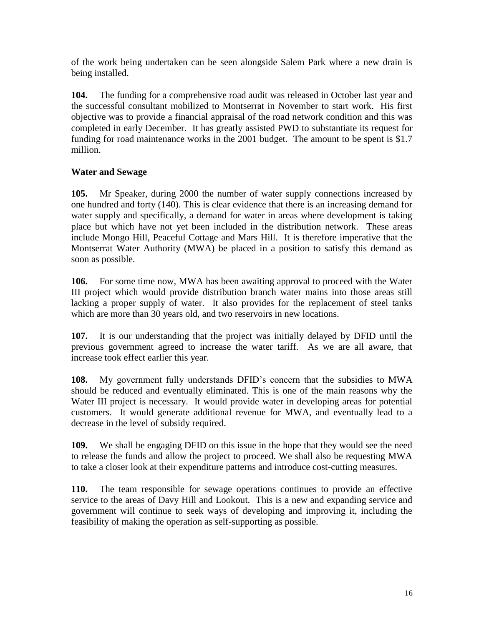of the work being undertaken can be seen alongside Salem Park where a new drain is being installed.

**104.** The funding for a comprehensive road audit was released in October last year and the successful consultant mobilized to Montserrat in November to start work. His first objective was to provide a financial appraisal of the road network condition and this was completed in early December. It has greatly assisted PWD to substantiate its request for funding for road maintenance works in the 2001 budget. The amount to be spent is \$1.7 million.

# **Water and Sewage**

**105.** Mr Speaker, during 2000 the number of water supply connections increased by one hundred and forty (140). This is clear evidence that there is an increasing demand for water supply and specifically, a demand for water in areas where development is taking place but which have not yet been included in the distribution network. These areas include Mongo Hill, Peaceful Cottage and Mars Hill. It is therefore imperative that the Montserrat Water Authority (MWA) be placed in a position to satisfy this demand as soon as possible.

**106.** For some time now, MWA has been awaiting approval to proceed with the Water III project which would provide distribution branch water mains into those areas still lacking a proper supply of water. It also provides for the replacement of steel tanks which are more than 30 years old, and two reservoirs in new locations.

**107.** It is our understanding that the project was initially delayed by DFID until the previous government agreed to increase the water tariff. As we are all aware, that increase took effect earlier this year.

**108.** My government fully understands DFID"s concern that the subsidies to MWA should be reduced and eventually eliminated. This is one of the main reasons why the Water III project is necessary. It would provide water in developing areas for potential customers. It would generate additional revenue for MWA, and eventually lead to a decrease in the level of subsidy required.

**109.** We shall be engaging DFID on this issue in the hope that they would see the need to release the funds and allow the project to proceed. We shall also be requesting MWA to take a closer look at their expenditure patterns and introduce cost-cutting measures.

**110.** The team responsible for sewage operations continues to provide an effective service to the areas of Davy Hill and Lookout. This is a new and expanding service and government will continue to seek ways of developing and improving it, including the feasibility of making the operation as self-supporting as possible.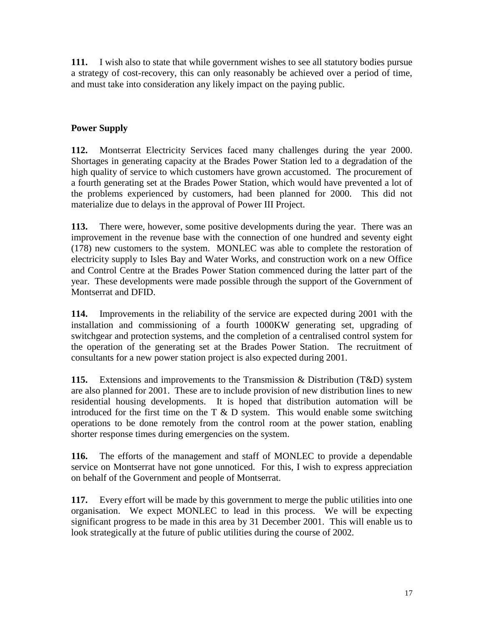**111.** I wish also to state that while government wishes to see all statutory bodies pursue a strategy of cost-recovery, this can only reasonably be achieved over a period of time, and must take into consideration any likely impact on the paying public.

# **Power Supply**

**112.** Montserrat Electricity Services faced many challenges during the year 2000. Shortages in generating capacity at the Brades Power Station led to a degradation of the high quality of service to which customers have grown accustomed. The procurement of a fourth generating set at the Brades Power Station, which would have prevented a lot of the problems experienced by customers, had been planned for 2000. This did not materialize due to delays in the approval of Power III Project.

**113.** There were, however, some positive developments during the year. There was an improvement in the revenue base with the connection of one hundred and seventy eight (178) new customers to the system. MONLEC was able to complete the restoration of electricity supply to Isles Bay and Water Works, and construction work on a new Office and Control Centre at the Brades Power Station commenced during the latter part of the year. These developments were made possible through the support of the Government of Montserrat and DFID.

**114.** Improvements in the reliability of the service are expected during 2001 with the installation and commissioning of a fourth 1000KW generating set, upgrading of switchgear and protection systems, and the completion of a centralised control system for the operation of the generating set at the Brades Power Station. The recruitment of consultants for a new power station project is also expected during 2001.

**115.** Extensions and improvements to the Transmission & Distribution (T&D) system are also planned for 2001. These are to include provision of new distribution lines to new residential housing developments. It is hoped that distribution automation will be introduced for the first time on the  $T \& D$  system. This would enable some switching operations to be done remotely from the control room at the power station, enabling shorter response times during emergencies on the system.

**116.** The efforts of the management and staff of MONLEC to provide a dependable service on Montserrat have not gone unnoticed. For this, I wish to express appreciation on behalf of the Government and people of Montserrat.

**117.** Every effort will be made by this government to merge the public utilities into one organisation. We expect MONLEC to lead in this process. We will be expecting significant progress to be made in this area by 31 December 2001. This will enable us to look strategically at the future of public utilities during the course of 2002.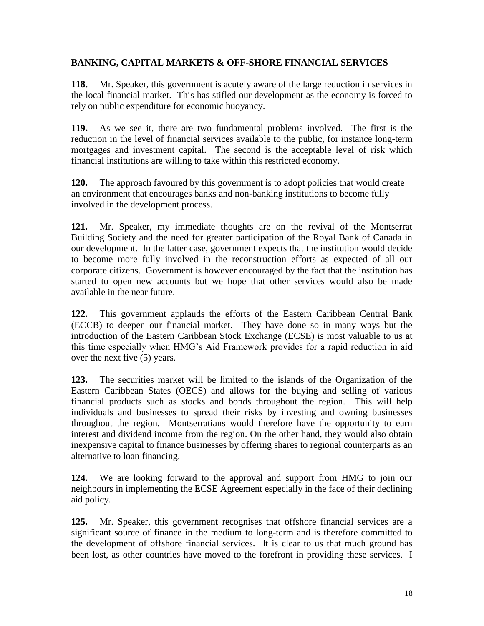### **BANKING, CAPITAL MARKETS & OFF-SHORE FINANCIAL SERVICES**

**118.** Mr. Speaker, this government is acutely aware of the large reduction in services in the local financial market. This has stifled our development as the economy is forced to rely on public expenditure for economic buoyancy.

**119.** As we see it, there are two fundamental problems involved. The first is the reduction in the level of financial services available to the public, for instance long-term mortgages and investment capital. The second is the acceptable level of risk which financial institutions are willing to take within this restricted economy.

**120.** The approach favoured by this government is to adopt policies that would create an environment that encourages banks and non-banking institutions to become fully involved in the development process.

**121.** Mr. Speaker, my immediate thoughts are on the revival of the Montserrat Building Society and the need for greater participation of the Royal Bank of Canada in our development. In the latter case, government expects that the institution would decide to become more fully involved in the reconstruction efforts as expected of all our corporate citizens. Government is however encouraged by the fact that the institution has started to open new accounts but we hope that other services would also be made available in the near future.

**122.** This government applauds the efforts of the Eastern Caribbean Central Bank (ECCB) to deepen our financial market. They have done so in many ways but the introduction of the Eastern Caribbean Stock Exchange (ECSE) is most valuable to us at this time especially when HMG"s Aid Framework provides for a rapid reduction in aid over the next five (5) years.

**123.** The securities market will be limited to the islands of the Organization of the Eastern Caribbean States (OECS) and allows for the buying and selling of various financial products such as stocks and bonds throughout the region. This will help individuals and businesses to spread their risks by investing and owning businesses throughout the region. Montserratians would therefore have the opportunity to earn interest and dividend income from the region. On the other hand, they would also obtain inexpensive capital to finance businesses by offering shares to regional counterparts as an alternative to loan financing.

**124.** We are looking forward to the approval and support from HMG to join our neighbours in implementing the ECSE Agreement especially in the face of their declining aid policy.

**125.** Mr. Speaker, this government recognises that offshore financial services are a significant source of finance in the medium to long-term and is therefore committed to the development of offshore financial services. It is clear to us that much ground has been lost, as other countries have moved to the forefront in providing these services. I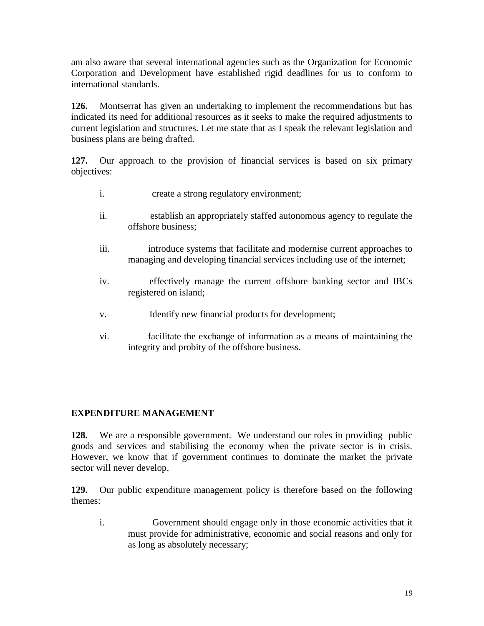am also aware that several international agencies such as the Organization for Economic Corporation and Development have established rigid deadlines for us to conform to international standards.

**126.** Montserrat has given an undertaking to implement the recommendations but has indicated its need for additional resources as it seeks to make the required adjustments to current legislation and structures. Let me state that as I speak the relevant legislation and business plans are being drafted.

**127.** Our approach to the provision of financial services is based on six primary objectives:

- i. create a strong regulatory environment;
- ii. establish an appropriately staffed autonomous agency to regulate the offshore business;
- iii. introduce systems that facilitate and modernise current approaches to managing and developing financial services including use of the internet;
- iv. effectively manage the current offshore banking sector and IBCs registered on island;
- v. Identify new financial products for development;
- vi. facilitate the exchange of information as a means of maintaining the integrity and probity of the offshore business.

# **EXPENDITURE MANAGEMENT**

**128.** We are a responsible government. We understand our roles in providing public goods and services and stabilising the economy when the private sector is in crisis. However, we know that if government continues to dominate the market the private sector will never develop.

**129.** Our public expenditure management policy is therefore based on the following themes:

i. Government should engage only in those economic activities that it must provide for administrative, economic and social reasons and only for as long as absolutely necessary;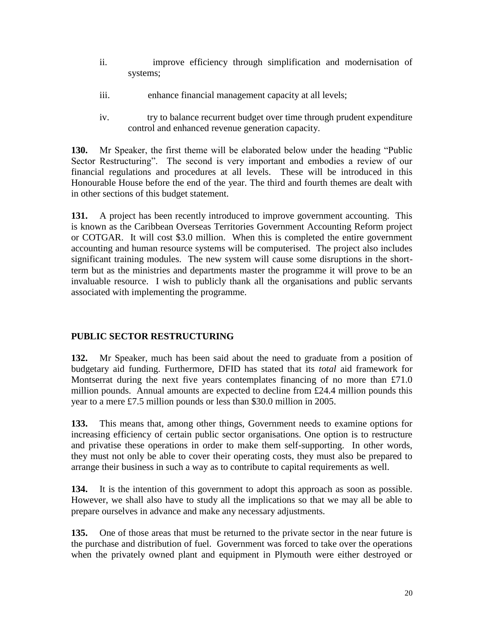- ii. improve efficiency through simplification and modernisation of systems;
- iii. enhance financial management capacity at all levels;
- iv. try to balance recurrent budget over time through prudent expenditure control and enhanced revenue generation capacity.

**130.** Mr Speaker, the first theme will be elaborated below under the heading "Public Sector Restructuring". The second is very important and embodies a review of our financial regulations and procedures at all levels. These will be introduced in this Honourable House before the end of the year. The third and fourth themes are dealt with in other sections of this budget statement.

**131.** A project has been recently introduced to improve government accounting. This is known as the Caribbean Overseas Territories Government Accounting Reform project or COTGAR. It will cost \$3.0 million. When this is completed the entire government accounting and human resource systems will be computerised. The project also includes significant training modules. The new system will cause some disruptions in the shortterm but as the ministries and departments master the programme it will prove to be an invaluable resource. I wish to publicly thank all the organisations and public servants associated with implementing the programme.

### **PUBLIC SECTOR RESTRUCTURING**

**132.** Mr Speaker, much has been said about the need to graduate from a position of budgetary aid funding. Furthermore, DFID has stated that its *total* aid framework for Montserrat during the next five years contemplates financing of no more than £71.0 million pounds. Annual amounts are expected to decline from £24.4 million pounds this year to a mere £7.5 million pounds or less than \$30.0 million in 2005.

**133.** This means that, among other things, Government needs to examine options for increasing efficiency of certain public sector organisations. One option is to restructure and privatise these operations in order to make them self-supporting. In other words, they must not only be able to cover their operating costs, they must also be prepared to arrange their business in such a way as to contribute to capital requirements as well.

**134.** It is the intention of this government to adopt this approach as soon as possible. However, we shall also have to study all the implications so that we may all be able to prepare ourselves in advance and make any necessary adjustments.

**135.** One of those areas that must be returned to the private sector in the near future is the purchase and distribution of fuel. Government was forced to take over the operations when the privately owned plant and equipment in Plymouth were either destroyed or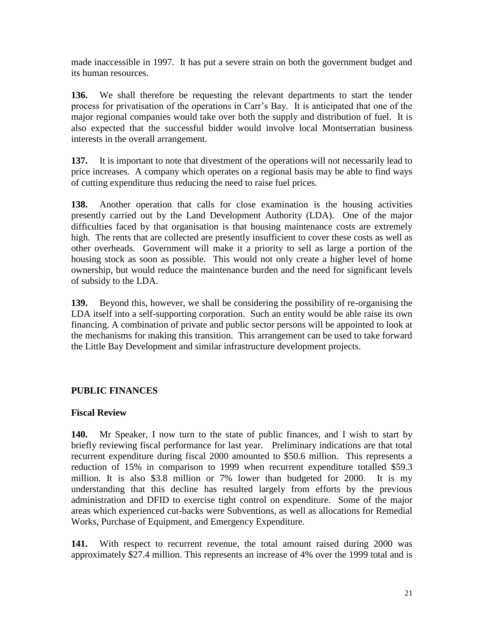made inaccessible in 1997. It has put a severe strain on both the government budget and its human resources.

**136.** We shall therefore be requesting the relevant departments to start the tender process for privatisation of the operations in Carr"s Bay. It is anticipated that one of the major regional companies would take over both the supply and distribution of fuel. It is also expected that the successful bidder would involve local Montserratian business interests in the overall arrangement.

**137.** It is important to note that divestment of the operations will not necessarily lead to price increases. A company which operates on a regional basis may be able to find ways of cutting expenditure thus reducing the need to raise fuel prices.

**138.** Another operation that calls for close examination is the housing activities presently carried out by the Land Development Authority (LDA). One of the major difficulties faced by that organisation is that housing maintenance costs are extremely high. The rents that are collected are presently insufficient to cover these costs as well as other overheads. Government will make it a priority to sell as large a portion of the housing stock as soon as possible. This would not only create a higher level of home ownership, but would reduce the maintenance burden and the need for significant levels of subsidy to the LDA.

**139.** Beyond this, however, we shall be considering the possibility of re-organising the LDA itself into a self-supporting corporation. Such an entity would be able raise its own financing. A combination of private and public sector persons will be appointed to look at the mechanisms for making this transition. This arrangement can be used to take forward the Little Bay Development and similar infrastructure development projects.

### **PUBLIC FINANCES**

### **Fiscal Review**

**140.** Mr Speaker, I now turn to the state of public finances, and I wish to start by briefly reviewing fiscal performance for last year. Preliminary indications are that total recurrent expenditure during fiscal 2000 amounted to \$50.6 million. This represents a reduction of 15% in comparison to 1999 when recurrent expenditure totalled \$59.3 million. It is also \$3.8 million or 7% lower than budgeted for 2000. It is my understanding that this decline has resulted largely from efforts by the previous administration and DFID to exercise tight control on expenditure. Some of the major areas which experienced cut-backs were Subventions, as well as allocations for Remedial Works, Purchase of Equipment, and Emergency Expenditure.

**141.** With respect to recurrent revenue, the total amount raised during 2000 was approximately \$27.4 million. This represents an increase of 4% over the 1999 total and is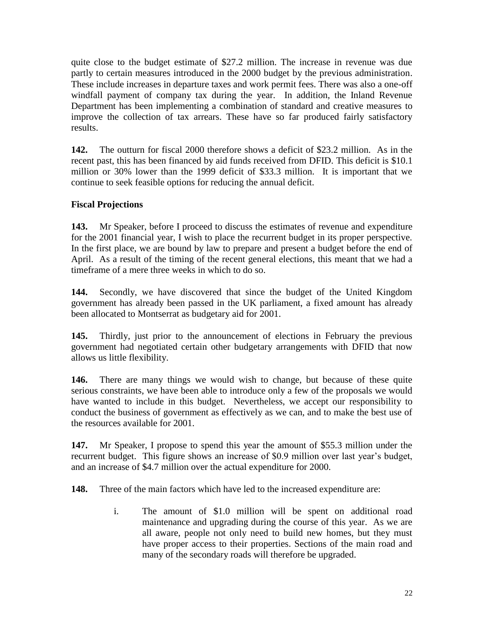quite close to the budget estimate of \$27.2 million. The increase in revenue was due partly to certain measures introduced in the 2000 budget by the previous administration. These include increases in departure taxes and work permit fees. There was also a one-off windfall payment of company tax during the year. In addition, the Inland Revenue Department has been implementing a combination of standard and creative measures to improve the collection of tax arrears. These have so far produced fairly satisfactory results.

**142.** The outturn for fiscal 2000 therefore shows a deficit of \$23.2 million. As in the recent past, this has been financed by aid funds received from DFID. This deficit is \$10.1 million or 30% lower than the 1999 deficit of \$33.3 million. It is important that we continue to seek feasible options for reducing the annual deficit.

# **Fiscal Projections**

**143.** Mr Speaker, before I proceed to discuss the estimates of revenue and expenditure for the 2001 financial year, I wish to place the recurrent budget in its proper perspective. In the first place, we are bound by law to prepare and present a budget before the end of April. As a result of the timing of the recent general elections, this meant that we had a timeframe of a mere three weeks in which to do so.

**144.** Secondly, we have discovered that since the budget of the United Kingdom government has already been passed in the UK parliament, a fixed amount has already been allocated to Montserrat as budgetary aid for 2001.

**145.** Thirdly, just prior to the announcement of elections in February the previous government had negotiated certain other budgetary arrangements with DFID that now allows us little flexibility.

**146.** There are many things we would wish to change, but because of these quite serious constraints, we have been able to introduce only a few of the proposals we would have wanted to include in this budget. Nevertheless, we accept our responsibility to conduct the business of government as effectively as we can, and to make the best use of the resources available for 2001.

**147.** Mr Speaker, I propose to spend this year the amount of \$55.3 million under the recurrent budget. This figure shows an increase of \$0.9 million over last year's budget, and an increase of \$4.7 million over the actual expenditure for 2000.

**148.** Three of the main factors which have led to the increased expenditure are:

i. The amount of \$1.0 million will be spent on additional road maintenance and upgrading during the course of this year. As we are all aware, people not only need to build new homes, but they must have proper access to their properties. Sections of the main road and many of the secondary roads will therefore be upgraded.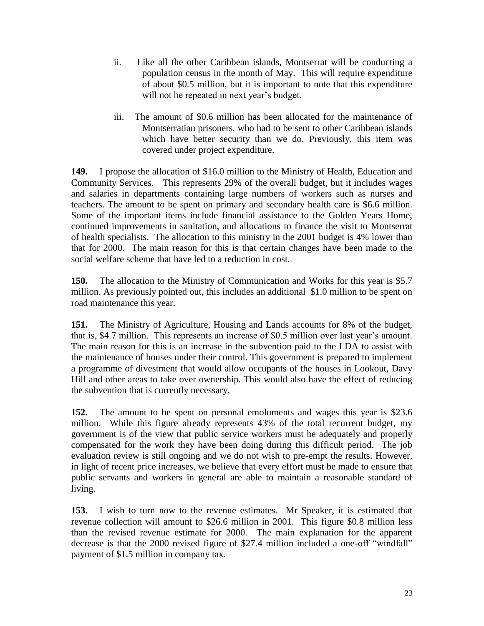- ii. Like all the other Caribbean islands, Montserrat will be conducting a population census in the month of May. This will require expenditure of about \$0.5 million, but it is important to note that this expenditure will not be repeated in next year's budget.
- iii. The amount of \$0.6 million has been allocated for the maintenance of Montserratian prisoners, who had to be sent to other Caribbean islands which have better security than we do. Previously, this item was covered under project expenditure.

**149.** I propose the allocation of \$16.0 million to the Ministry of Health, Education and Community Services. This represents 29% of the overall budget, but it includes wages and salaries in departments containing large numbers of workers such as nurses and teachers. The amount to be spent on primary and secondary health care is \$6.6 million. Some of the important items include financial assistance to the Golden Years Home, continued improvements in sanitation, and allocations to finance the visit to Montserrat of health specialists. The allocation to this ministry in the 2001 budget is 4% lower than that for 2000. The main reason for this is that certain changes have been made to the social welfare scheme that have led to a reduction in cost.

**150.** The allocation to the Ministry of Communication and Works for this year is \$5.7 million. As previously pointed out, this includes an additional \$1.0 million to be spent on road maintenance this year.

**151.** The Ministry of Agriculture, Housing and Lands accounts for 8% of the budget, that is, \$4.7 million. This represents an increase of \$0.5 million over last year"s amount. The main reason for this is an increase in the subvention paid to the LDA to assist with the maintenance of houses under their control. This government is prepared to implement a programme of divestment that would allow occupants of the houses in Lookout, Davy Hill and other areas to take over ownership. This would also have the effect of reducing the subvention that is currently necessary.

**152.** The amount to be spent on personal emoluments and wages this year is \$23.6 million. While this figure already represents 43% of the total recurrent budget, my government is of the view that public service workers must be adequately and properly compensated for the work they have been doing during this difficult period. The job evaluation review is still ongoing and we do not wish to pre-empt the results. However, in light of recent price increases, we believe that every effort must be made to ensure that public servants and workers in general are able to maintain a reasonable standard of living.

**153.** I wish to turn now to the revenue estimates. Mr Speaker, it is estimated that revenue collection will amount to \$26.6 million in 2001. This figure \$0.8 million less than the revised revenue estimate for 2000. The main explanation for the apparent decrease is that the 2000 revised figure of \$27.4 million included a one-off "windfall" payment of \$1.5 million in company tax.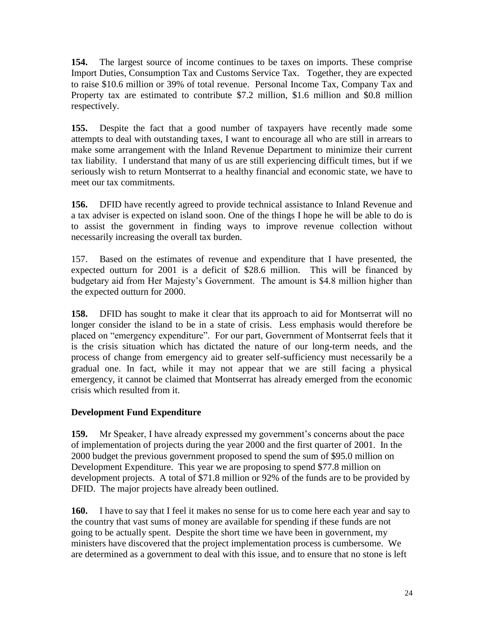**154.** The largest source of income continues to be taxes on imports. These comprise Import Duties, Consumption Tax and Customs Service Tax. Together, they are expected to raise \$10.6 million or 39% of total revenue. Personal Income Tax, Company Tax and Property tax are estimated to contribute \$7.2 million, \$1.6 million and \$0.8 million respectively.

**155.** Despite the fact that a good number of taxpayers have recently made some attempts to deal with outstanding taxes, I want to encourage all who are still in arrears to make some arrangement with the Inland Revenue Department to minimize their current tax liability. I understand that many of us are still experiencing difficult times, but if we seriously wish to return Montserrat to a healthy financial and economic state, we have to meet our tax commitments.

**156.** DFID have recently agreed to provide technical assistance to Inland Revenue and a tax adviser is expected on island soon. One of the things I hope he will be able to do is to assist the government in finding ways to improve revenue collection without necessarily increasing the overall tax burden.

157. Based on the estimates of revenue and expenditure that I have presented, the expected outturn for 2001 is a deficit of \$28.6 million. This will be financed by budgetary aid from Her Majesty"s Government. The amount is \$4.8 million higher than the expected outturn for 2000.

**158.** DFID has sought to make it clear that its approach to aid for Montserrat will no longer consider the island to be in a state of crisis. Less emphasis would therefore be placed on "emergency expenditure". For our part, Government of Montserrat feels that it is the crisis situation which has dictated the nature of our long-term needs, and the process of change from emergency aid to greater self-sufficiency must necessarily be a gradual one. In fact, while it may not appear that we are still facing a physical emergency, it cannot be claimed that Montserrat has already emerged from the economic crisis which resulted from it.

# **Development Fund Expenditure**

**159.** Mr Speaker, I have already expressed my government's concerns about the pace of implementation of projects during the year 2000 and the first quarter of 2001. In the 2000 budget the previous government proposed to spend the sum of \$95.0 million on Development Expenditure. This year we are proposing to spend \$77.8 million on development projects. A total of \$71.8 million or 92% of the funds are to be provided by DFID. The major projects have already been outlined.

**160.** I have to say that I feel it makes no sense for us to come here each year and say to the country that vast sums of money are available for spending if these funds are not going to be actually spent. Despite the short time we have been in government, my ministers have discovered that the project implementation process is cumbersome. We are determined as a government to deal with this issue, and to ensure that no stone is left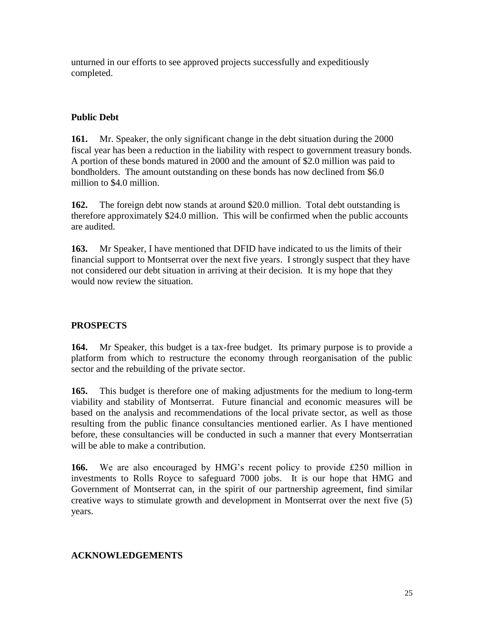unturned in our efforts to see approved projects successfully and expeditiously completed.

# **Public Debt**

**161.** Mr. Speaker, the only significant change in the debt situation during the 2000 fiscal year has been a reduction in the liability with respect to government treasury bonds. A portion of these bonds matured in 2000 and the amount of \$2.0 million was paid to bondholders. The amount outstanding on these bonds has now declined from \$6.0 million to \$4.0 million.

**162.** The foreign debt now stands at around \$20.0 million. Total debt outstanding is therefore approximately \$24.0 million. This will be confirmed when the public accounts are audited.

**163.** Mr Speaker, I have mentioned that DFID have indicated to us the limits of their financial support to Montserrat over the next five years. I strongly suspect that they have not considered our debt situation in arriving at their decision. It is my hope that they would now review the situation.

# **PROSPECTS**

**164.** Mr Speaker, this budget is a tax-free budget. Its primary purpose is to provide a platform from which to restructure the economy through reorganisation of the public sector and the rebuilding of the private sector.

**165.** This budget is therefore one of making adjustments for the medium to long-term viability and stability of Montserrat. Future financial and economic measures will be based on the analysis and recommendations of the local private sector, as well as those resulting from the public finance consultancies mentioned earlier. As I have mentioned before, these consultancies will be conducted in such a manner that every Montserratian will be able to make a contribution.

**166.** We are also encouraged by HMG's recent policy to provide £250 million in investments to Rolls Royce to safeguard 7000 jobs. It is our hope that HMG and Government of Montserrat can, in the spirit of our partnership agreement, find similar creative ways to stimulate growth and development in Montserrat over the next five (5) years.

# **ACKNOWLEDGEMENTS**